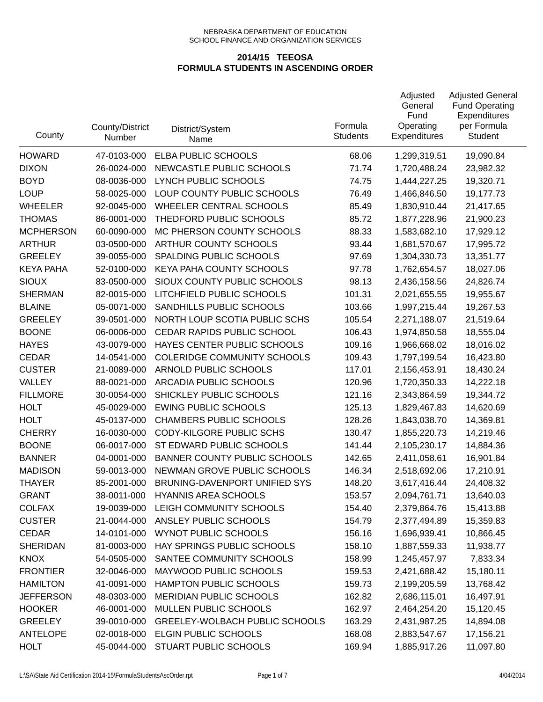| County           | County/District<br>Number | District/System<br>Name               | Formula<br><b>Students</b> | Adjusted<br>General<br>Fund<br>Operating<br><b>Expenditures</b> | <b>Adjusted General</b><br><b>Fund Operating</b><br>Expenditures<br>per Formula<br>Student |
|------------------|---------------------------|---------------------------------------|----------------------------|-----------------------------------------------------------------|--------------------------------------------------------------------------------------------|
| <b>HOWARD</b>    | 47-0103-000               | ELBA PUBLIC SCHOOLS                   | 68.06                      | 1,299,319.51                                                    | 19,090.84                                                                                  |
| <b>DIXON</b>     | 26-0024-000               | NEWCASTLE PUBLIC SCHOOLS              | 71.74                      | 1,720,488.24                                                    | 23,982.32                                                                                  |
| <b>BOYD</b>      | 08-0036-000               | LYNCH PUBLIC SCHOOLS                  | 74.75                      | 1,444,227.25                                                    | 19,320.71                                                                                  |
| <b>LOUP</b>      | 58-0025-000               | LOUP COUNTY PUBLIC SCHOOLS            | 76.49                      | 1,466,846.50                                                    | 19,177.73                                                                                  |
| <b>WHEELER</b>   | 92-0045-000               | WHEELER CENTRAL SCHOOLS               | 85.49                      | 1,830,910.44                                                    | 21,417.65                                                                                  |
| <b>THOMAS</b>    | 86-0001-000               | THEDFORD PUBLIC SCHOOLS               | 85.72                      | 1,877,228.96                                                    | 21,900.23                                                                                  |
| <b>MCPHERSON</b> | 60-0090-000               | MC PHERSON COUNTY SCHOOLS             | 88.33                      | 1,583,682.10                                                    | 17,929.12                                                                                  |
| <b>ARTHUR</b>    | 03-0500-000               | ARTHUR COUNTY SCHOOLS                 | 93.44                      | 1,681,570.67                                                    | 17,995.72                                                                                  |
| <b>GREELEY</b>   | 39-0055-000               | SPALDING PUBLIC SCHOOLS               | 97.69                      | 1,304,330.73                                                    | 13,351.77                                                                                  |
| <b>KEYA PAHA</b> | 52-0100-000               | KEYA PAHA COUNTY SCHOOLS              | 97.78                      | 1,762,654.57                                                    | 18,027.06                                                                                  |
| <b>SIOUX</b>     | 83-0500-000               | SIOUX COUNTY PUBLIC SCHOOLS           | 98.13                      | 2,436,158.56                                                    | 24,826.74                                                                                  |
| <b>SHERMAN</b>   | 82-0015-000               | LITCHFIELD PUBLIC SCHOOLS             | 101.31                     | 2,021,655.55                                                    | 19,955.67                                                                                  |
| <b>BLAINE</b>    | 05-0071-000               | SANDHILLS PUBLIC SCHOOLS              | 103.66                     | 1,997,215.44                                                    | 19,267.53                                                                                  |
| <b>GREELEY</b>   | 39-0501-000               | NORTH LOUP SCOTIA PUBLIC SCHS         | 105.54                     | 2,271,188.07                                                    | 21,519.64                                                                                  |
| <b>BOONE</b>     | 06-0006-000               | CEDAR RAPIDS PUBLIC SCHOOL            | 106.43                     | 1,974,850.58                                                    | 18,555.04                                                                                  |
| <b>HAYES</b>     | 43-0079-000               | HAYES CENTER PUBLIC SCHOOLS           | 109.16                     | 1,966,668.02                                                    | 18,016.02                                                                                  |
| <b>CEDAR</b>     | 14-0541-000               | <b>COLERIDGE COMMUNITY SCHOOLS</b>    | 109.43                     | 1,797,199.54                                                    | 16,423.80                                                                                  |
| <b>CUSTER</b>    | 21-0089-000               | ARNOLD PUBLIC SCHOOLS                 | 117.01                     | 2,156,453.91                                                    | 18,430.24                                                                                  |
| VALLEY           | 88-0021-000               | ARCADIA PUBLIC SCHOOLS                | 120.96                     | 1,720,350.33                                                    | 14,222.18                                                                                  |
| <b>FILLMORE</b>  | 30-0054-000               | SHICKLEY PUBLIC SCHOOLS               | 121.16                     | 2,343,864.59                                                    | 19,344.72                                                                                  |
| <b>HOLT</b>      | 45-0029-000               | <b>EWING PUBLIC SCHOOLS</b>           | 125.13                     | 1,829,467.83                                                    | 14,620.69                                                                                  |
| <b>HOLT</b>      | 45-0137-000               | <b>CHAMBERS PUBLIC SCHOOLS</b>        | 128.26                     | 1,843,038.70                                                    | 14,369.81                                                                                  |
| <b>CHERRY</b>    | 16-0030-000               | <b>CODY-KILGORE PUBLIC SCHS</b>       | 130.47                     | 1,855,220.73                                                    | 14,219.46                                                                                  |
| <b>BOONE</b>     | 06-0017-000               | ST EDWARD PUBLIC SCHOOLS              | 141.44                     | 2,105,230.17                                                    | 14,884.36                                                                                  |
| <b>BANNER</b>    | 04-0001-000               | <b>BANNER COUNTY PUBLIC SCHOOLS</b>   | 142.65                     | 2,411,058.61                                                    | 16,901.84                                                                                  |
| <b>MADISON</b>   | 59-0013-000               | NEWMAN GROVE PUBLIC SCHOOLS           | 146.34                     | 2,518,692.06                                                    | 17,210.91                                                                                  |
| <b>THAYER</b>    | 85-2001-000               | BRUNING-DAVENPORT UNIFIED SYS         | 148.20                     | 3,617,416.44                                                    | 24,408.32                                                                                  |
| <b>GRANT</b>     | 38-0011-000               | <b>HYANNIS AREA SCHOOLS</b>           | 153.57                     | 2,094,761.71                                                    | 13,640.03                                                                                  |
| <b>COLFAX</b>    | 19-0039-000               | LEIGH COMMUNITY SCHOOLS               | 154.40                     | 2,379,864.76                                                    | 15,413.88                                                                                  |
| <b>CUSTER</b>    | 21-0044-000               | ANSLEY PUBLIC SCHOOLS                 | 154.79                     | 2,377,494.89                                                    | 15,359.83                                                                                  |
| <b>CEDAR</b>     | 14-0101-000               | WYNOT PUBLIC SCHOOLS                  | 156.16                     | 1,696,939.41                                                    | 10,866.45                                                                                  |
| <b>SHERIDAN</b>  | 81-0003-000               | HAY SPRINGS PUBLIC SCHOOLS            | 158.10                     | 1,887,559.33                                                    | 11,938.77                                                                                  |
| <b>KNOX</b>      | 54-0505-000               | SANTEE COMMUNITY SCHOOLS              | 158.99                     | 1,245,457.97                                                    | 7,833.34                                                                                   |
| <b>FRONTIER</b>  | 32-0046-000               | MAYWOOD PUBLIC SCHOOLS                | 159.53                     | 2,421,688.42                                                    | 15,180.11                                                                                  |
| <b>HAMILTON</b>  | 41-0091-000               | HAMPTON PUBLIC SCHOOLS                | 159.73                     | 2,199,205.59                                                    | 13,768.42                                                                                  |
| <b>JEFFERSON</b> | 48-0303-000               | <b>MERIDIAN PUBLIC SCHOOLS</b>        | 162.82                     | 2,686,115.01                                                    | 16,497.91                                                                                  |
| <b>HOOKER</b>    | 46-0001-000               | MULLEN PUBLIC SCHOOLS                 | 162.97                     | 2,464,254.20                                                    | 15,120.45                                                                                  |
| <b>GREELEY</b>   | 39-0010-000               | <b>GREELEY-WOLBACH PUBLIC SCHOOLS</b> | 163.29                     | 2,431,987.25                                                    | 14,894.08                                                                                  |
| <b>ANTELOPE</b>  | 02-0018-000               | <b>ELGIN PUBLIC SCHOOLS</b>           | 168.08                     | 2,883,547.67                                                    | 17,156.21                                                                                  |
| <b>HOLT</b>      | 45-0044-000               | STUART PUBLIC SCHOOLS                 | 169.94                     | 1,885,917.26                                                    | 11,097.80                                                                                  |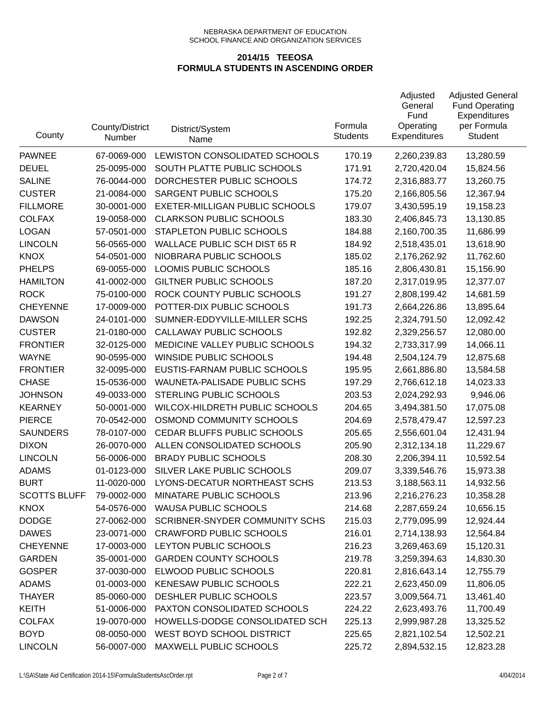| County              | County/District<br>Number | District/System<br>Name               | Formula<br><b>Students</b> | Adjusted<br>General<br>Fund<br>Operating<br><b>Expenditures</b> | <b>Adjusted General</b><br><b>Fund Operating</b><br>Expenditures<br>per Formula<br>Student |
|---------------------|---------------------------|---------------------------------------|----------------------------|-----------------------------------------------------------------|--------------------------------------------------------------------------------------------|
| <b>PAWNEE</b>       | 67-0069-000               | LEWISTON CONSOLIDATED SCHOOLS         | 170.19                     | 2,260,239.83                                                    | 13,280.59                                                                                  |
| <b>DEUEL</b>        | 25-0095-000               | SOUTH PLATTE PUBLIC SCHOOLS           | 171.91                     | 2,720,420.04                                                    | 15,824.56                                                                                  |
| <b>SALINE</b>       | 76-0044-000               | DORCHESTER PUBLIC SCHOOLS             | 174.72                     | 2,316,883.77                                                    | 13,260.75                                                                                  |
| <b>CUSTER</b>       | 21-0084-000               | SARGENT PUBLIC SCHOOLS                | 175.20                     | 2,166,805.56                                                    | 12,367.94                                                                                  |
| <b>FILLMORE</b>     | 30-0001-000               | EXETER-MILLIGAN PUBLIC SCHOOLS        | 179.07                     | 3,430,595.19                                                    | 19,158.23                                                                                  |
| <b>COLFAX</b>       | 19-0058-000               | <b>CLARKSON PUBLIC SCHOOLS</b>        | 183.30                     | 2,406,845.73                                                    | 13,130.85                                                                                  |
| <b>LOGAN</b>        | 57-0501-000               | STAPLETON PUBLIC SCHOOLS              | 184.88                     | 2,160,700.35                                                    | 11,686.99                                                                                  |
| <b>LINCOLN</b>      | 56-0565-000               | <b>WALLACE PUBLIC SCH DIST 65 R</b>   | 184.92                     | 2,518,435.01                                                    | 13,618.90                                                                                  |
| <b>KNOX</b>         | 54-0501-000               | NIOBRARA PUBLIC SCHOOLS               | 185.02                     | 2,176,262.92                                                    | 11,762.60                                                                                  |
| <b>PHELPS</b>       | 69-0055-000               | LOOMIS PUBLIC SCHOOLS                 | 185.16                     | 2,806,430.81                                                    | 15,156.90                                                                                  |
| <b>HAMILTON</b>     | 41-0002-000               | <b>GILTNER PUBLIC SCHOOLS</b>         | 187.20                     | 2,317,019.95                                                    | 12,377.07                                                                                  |
| <b>ROCK</b>         | 75-0100-000               | ROCK COUNTY PUBLIC SCHOOLS            | 191.27                     | 2,808,199.42                                                    | 14,681.59                                                                                  |
| <b>CHEYENNE</b>     | 17-0009-000               | POTTER-DIX PUBLIC SCHOOLS             | 191.73                     | 2,664,226.86                                                    | 13,895.64                                                                                  |
| <b>DAWSON</b>       | 24-0101-000               | SUMNER-EDDYVILLE-MILLER SCHS          | 192.25                     | 2,324,791.50                                                    | 12,092.42                                                                                  |
| <b>CUSTER</b>       | 21-0180-000               | CALLAWAY PUBLIC SCHOOLS               | 192.82                     | 2,329,256.57                                                    | 12,080.00                                                                                  |
| <b>FRONTIER</b>     | 32-0125-000               | MEDICINE VALLEY PUBLIC SCHOOLS        | 194.32                     | 2,733,317.99                                                    | 14,066.11                                                                                  |
| <b>WAYNE</b>        | 90-0595-000               | WINSIDE PUBLIC SCHOOLS                | 194.48                     | 2,504,124.79                                                    | 12,875.68                                                                                  |
| <b>FRONTIER</b>     | 32-0095-000               | EUSTIS-FARNAM PUBLIC SCHOOLS          | 195.95                     | 2,661,886.80                                                    | 13,584.58                                                                                  |
| <b>CHASE</b>        | 15-0536-000               | WAUNETA-PALISADE PUBLIC SCHS          | 197.29                     | 2,766,612.18                                                    | 14,023.33                                                                                  |
| <b>JOHNSON</b>      | 49-0033-000               | STERLING PUBLIC SCHOOLS               | 203.53                     | 2,024,292.93                                                    | 9,946.06                                                                                   |
| <b>KEARNEY</b>      | 50-0001-000               | WILCOX-HILDRETH PUBLIC SCHOOLS        | 204.65                     | 3,494,381.50                                                    | 17,075.08                                                                                  |
| <b>PIERCE</b>       | 70-0542-000               | OSMOND COMMUNITY SCHOOLS              | 204.69                     | 2,578,479.47                                                    | 12,597.23                                                                                  |
| <b>SAUNDERS</b>     | 78-0107-000               | CEDAR BLUFFS PUBLIC SCHOOLS           | 205.65                     | 2,556,601.04                                                    | 12,431.94                                                                                  |
| <b>DIXON</b>        | 26-0070-000               | ALLEN CONSOLIDATED SCHOOLS            | 205.90                     | 2,312,134.18                                                    | 11,229.67                                                                                  |
| <b>LINCOLN</b>      | 56-0006-000               | <b>BRADY PUBLIC SCHOOLS</b>           | 208.30                     | 2,206,394.11                                                    | 10,592.54                                                                                  |
| <b>ADAMS</b>        | 01-0123-000               | SILVER LAKE PUBLIC SCHOOLS            | 209.07                     | 3,339,546.76                                                    | 15,973.38                                                                                  |
| <b>BURT</b>         | 11-0020-000               | LYONS-DECATUR NORTHEAST SCHS          | 213.53                     | 3,188,563.11                                                    | 14,932.56                                                                                  |
| <b>SCOTTS BLUFF</b> | 79-0002-000               | MINATARE PUBLIC SCHOOLS               | 213.96                     | 2,216,276.23                                                    | 10,358.28                                                                                  |
| <b>KNOX</b>         | 54-0576-000               | <b>WAUSA PUBLIC SCHOOLS</b>           | 214.68                     | 2,287,659.24                                                    | 10,656.15                                                                                  |
| <b>DODGE</b>        | 27-0062-000               | <b>SCRIBNER-SNYDER COMMUNITY SCHS</b> | 215.03                     | 2,779,095.99                                                    | 12,924.44                                                                                  |
| <b>DAWES</b>        | 23-0071-000               | <b>CRAWFORD PUBLIC SCHOOLS</b>        | 216.01                     | 2,714,138.93                                                    | 12,564.84                                                                                  |
| <b>CHEYENNE</b>     | 17-0003-000               | LEYTON PUBLIC SCHOOLS                 | 216.23                     | 3,269,463.69                                                    | 15,120.31                                                                                  |
| <b>GARDEN</b>       | 35-0001-000               | <b>GARDEN COUNTY SCHOOLS</b>          | 219.78                     | 3,259,394.63                                                    | 14,830.30                                                                                  |
| <b>GOSPER</b>       | 37-0030-000               | ELWOOD PUBLIC SCHOOLS                 | 220.81                     | 2,816,643.14                                                    | 12,755.79                                                                                  |
| <b>ADAMS</b>        | 01-0003-000               | <b>KENESAW PUBLIC SCHOOLS</b>         | 222.21                     | 2,623,450.09                                                    | 11,806.05                                                                                  |
| <b>THAYER</b>       | 85-0060-000               | DESHLER PUBLIC SCHOOLS                | 223.57                     | 3,009,564.71                                                    | 13,461.40                                                                                  |
| <b>KEITH</b>        | 51-0006-000               | PAXTON CONSOLIDATED SCHOOLS           | 224.22                     | 2,623,493.76                                                    | 11,700.49                                                                                  |
| <b>COLFAX</b>       | 19-0070-000               | HOWELLS-DODGE CONSOLIDATED SCH        | 225.13                     | 2,999,987.28                                                    | 13,325.52                                                                                  |
| <b>BOYD</b>         | 08-0050-000               | WEST BOYD SCHOOL DISTRICT             | 225.65                     | 2,821,102.54                                                    | 12,502.21                                                                                  |
| <b>LINCOLN</b>      | 56-0007-000               | MAXWELL PUBLIC SCHOOLS                | 225.72                     | 2,894,532.15                                                    | 12,823.28                                                                                  |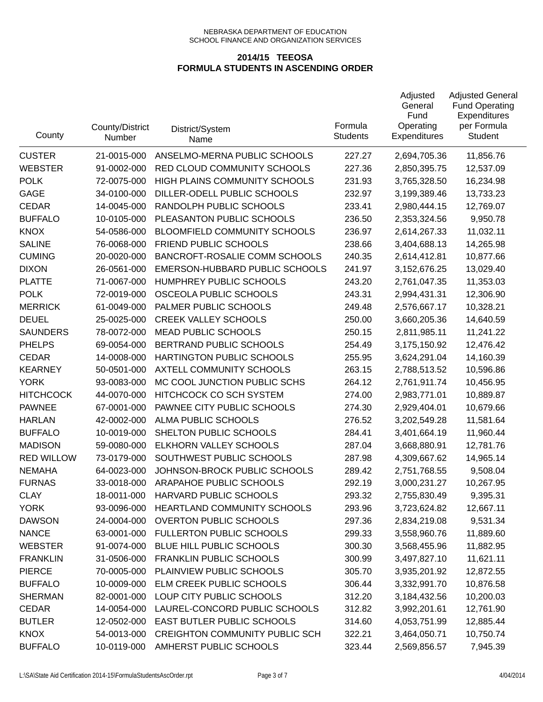| County            | County/District<br>Number | District/System<br>Name               | Formula<br><b>Students</b> | Adjusted<br>General<br>Fund<br>Operating<br><b>Expenditures</b> | <b>Adjusted General</b><br><b>Fund Operating</b><br>Expenditures<br>per Formula<br>Student |
|-------------------|---------------------------|---------------------------------------|----------------------------|-----------------------------------------------------------------|--------------------------------------------------------------------------------------------|
| <b>CUSTER</b>     | 21-0015-000               | ANSELMO-MERNA PUBLIC SCHOOLS          | 227.27                     | 2,694,705.36                                                    | 11,856.76                                                                                  |
| <b>WEBSTER</b>    | 91-0002-000               | RED CLOUD COMMUNITY SCHOOLS           | 227.36                     | 2,850,395.75                                                    | 12,537.09                                                                                  |
| <b>POLK</b>       | 72-0075-000               | HIGH PLAINS COMMUNITY SCHOOLS         | 231.93                     | 3,765,328.50                                                    | 16,234.98                                                                                  |
| <b>GAGE</b>       | 34-0100-000               | DILLER-ODELL PUBLIC SCHOOLS           | 232.97                     | 3,199,389.46                                                    | 13,733.23                                                                                  |
| <b>CEDAR</b>      | 14-0045-000               | RANDOLPH PUBLIC SCHOOLS               | 233.41                     | 2,980,444.15                                                    | 12,769.07                                                                                  |
| <b>BUFFALO</b>    | 10-0105-000               | PLEASANTON PUBLIC SCHOOLS             | 236.50                     | 2,353,324.56                                                    | 9,950.78                                                                                   |
| <b>KNOX</b>       | 54-0586-000               | BLOOMFIELD COMMUNITY SCHOOLS          | 236.97                     | 2,614,267.33                                                    | 11,032.11                                                                                  |
| <b>SALINE</b>     | 76-0068-000               | FRIEND PUBLIC SCHOOLS                 | 238.66                     | 3,404,688.13                                                    | 14,265.98                                                                                  |
| <b>CUMING</b>     | 20-0020-000               | BANCROFT-ROSALIE COMM SCHOOLS         | 240.35                     | 2,614,412.81                                                    | 10,877.66                                                                                  |
| <b>DIXON</b>      | 26-0561-000               | EMERSON-HUBBARD PUBLIC SCHOOLS        | 241.97                     | 3,152,676.25                                                    | 13,029.40                                                                                  |
| <b>PLATTE</b>     | 71-0067-000               | HUMPHREY PUBLIC SCHOOLS               | 243.20                     | 2,761,047.35                                                    | 11,353.03                                                                                  |
| <b>POLK</b>       | 72-0019-000               | OSCEOLA PUBLIC SCHOOLS                | 243.31                     | 2,994,431.31                                                    | 12,306.90                                                                                  |
| <b>MERRICK</b>    | 61-0049-000               | PALMER PUBLIC SCHOOLS                 | 249.48                     | 2,576,667.17                                                    | 10,328.21                                                                                  |
| <b>DEUEL</b>      | 25-0025-000               | <b>CREEK VALLEY SCHOOLS</b>           | 250.00                     | 3,660,205.36                                                    | 14,640.59                                                                                  |
| <b>SAUNDERS</b>   | 78-0072-000               | <b>MEAD PUBLIC SCHOOLS</b>            | 250.15                     | 2,811,985.11                                                    | 11,241.22                                                                                  |
| <b>PHELPS</b>     | 69-0054-000               | BERTRAND PUBLIC SCHOOLS               | 254.49                     | 3,175,150.92                                                    | 12,476.42                                                                                  |
| <b>CEDAR</b>      | 14-0008-000               | HARTINGTON PUBLIC SCHOOLS             | 255.95                     | 3,624,291.04                                                    | 14,160.39                                                                                  |
| <b>KEARNEY</b>    | 50-0501-000               | AXTELL COMMUNITY SCHOOLS              | 263.15                     | 2,788,513.52                                                    | 10,596.86                                                                                  |
| <b>YORK</b>       | 93-0083-000               | MC COOL JUNCTION PUBLIC SCHS          | 264.12                     | 2,761,911.74                                                    | 10,456.95                                                                                  |
| <b>HITCHCOCK</b>  | 44-0070-000               | HITCHCOCK CO SCH SYSTEM               | 274.00                     | 2,983,771.01                                                    | 10,889.87                                                                                  |
| <b>PAWNEE</b>     | 67-0001-000               | PAWNEE CITY PUBLIC SCHOOLS            | 274.30                     | 2,929,404.01                                                    | 10,679.66                                                                                  |
| <b>HARLAN</b>     | 42-0002-000               | ALMA PUBLIC SCHOOLS                   | 276.52                     | 3,202,549.28                                                    | 11,581.64                                                                                  |
| <b>BUFFALO</b>    | 10-0019-000               | SHELTON PUBLIC SCHOOLS                | 284.41                     | 3,401,664.19                                                    | 11,960.44                                                                                  |
| <b>MADISON</b>    | 59-0080-000               | ELKHORN VALLEY SCHOOLS                | 287.04                     | 3,668,880.91                                                    | 12,781.76                                                                                  |
| <b>RED WILLOW</b> | 73-0179-000               | SOUTHWEST PUBLIC SCHOOLS              | 287.98                     | 4,309,667.62                                                    | 14,965.14                                                                                  |
| <b>NEMAHA</b>     | 64-0023-000               | JOHNSON-BROCK PUBLIC SCHOOLS          | 289.42                     | 2,751,768.55                                                    | 9,508.04                                                                                   |
| <b>FURNAS</b>     | 33-0018-000               | ARAPAHOE PUBLIC SCHOOLS               | 292.19                     | 3,000,231.27                                                    | 10,267.95                                                                                  |
| CLAY              | 18-0011-000               | <b>HARVARD PUBLIC SCHOOLS</b>         | 293.32                     | 2,755,830.49                                                    | 9,395.31                                                                                   |
| <b>YORK</b>       | 93-0096-000               | HEARTLAND COMMUNITY SCHOOLS           | 293.96                     | 3,723,624.82                                                    | 12,667.11                                                                                  |
| <b>DAWSON</b>     | 24-0004-000               | <b>OVERTON PUBLIC SCHOOLS</b>         | 297.36                     | 2,834,219.08                                                    | 9,531.34                                                                                   |
| <b>NANCE</b>      | 63-0001-000               | FULLERTON PUBLIC SCHOOLS              | 299.33                     | 3,558,960.76                                                    | 11,889.60                                                                                  |
| <b>WEBSTER</b>    | 91-0074-000               | BLUE HILL PUBLIC SCHOOLS              | 300.30                     | 3,568,455.96                                                    | 11,882.95                                                                                  |
| <b>FRANKLIN</b>   | 31-0506-000               | <b>FRANKLIN PUBLIC SCHOOLS</b>        | 300.99                     | 3,497,827.10                                                    | 11,621.11                                                                                  |
| <b>PIERCE</b>     | 70-0005-000               | PLAINVIEW PUBLIC SCHOOLS              | 305.70                     | 3,935,201.92                                                    | 12,872.55                                                                                  |
| <b>BUFFALO</b>    | 10-0009-000               | ELM CREEK PUBLIC SCHOOLS              | 306.44                     | 3,332,991.70                                                    | 10,876.58                                                                                  |
| <b>SHERMAN</b>    | 82-0001-000               | LOUP CITY PUBLIC SCHOOLS              | 312.20                     | 3,184,432.56                                                    | 10,200.03                                                                                  |
| <b>CEDAR</b>      | 14-0054-000               | LAUREL-CONCORD PUBLIC SCHOOLS         | 312.82                     | 3,992,201.61                                                    | 12,761.90                                                                                  |
| <b>BUTLER</b>     | 12-0502-000               | EAST BUTLER PUBLIC SCHOOLS            | 314.60                     | 4,053,751.99                                                    | 12,885.44                                                                                  |
| <b>KNOX</b>       | 54-0013-000               | <b>CREIGHTON COMMUNITY PUBLIC SCH</b> | 322.21                     | 3,464,050.71                                                    | 10,750.74                                                                                  |
| <b>BUFFALO</b>    | 10-0119-000               | AMHERST PUBLIC SCHOOLS                | 323.44                     | 2,569,856.57                                                    | 7,945.39                                                                                   |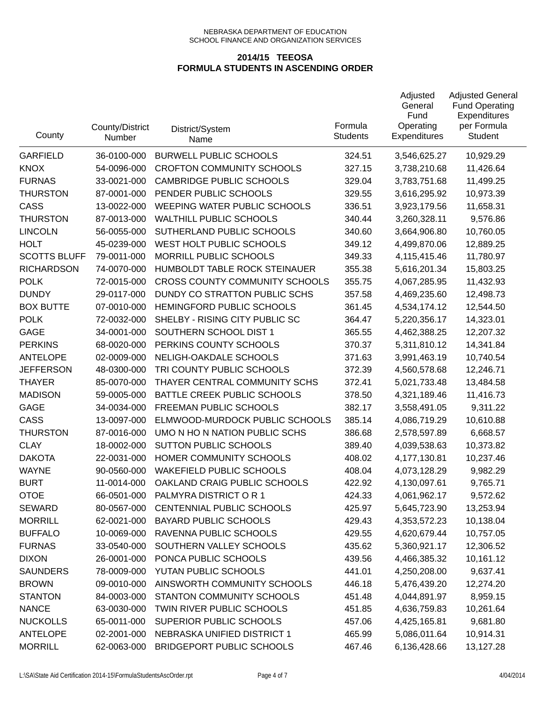| County              | County/District<br>Number | District/System<br>Name               | Formula<br><b>Students</b> | Adjusted<br>General<br>Fund<br>Operating<br><b>Expenditures</b> | <b>Adjusted General</b><br><b>Fund Operating</b><br>Expenditures<br>per Formula<br>Student |
|---------------------|---------------------------|---------------------------------------|----------------------------|-----------------------------------------------------------------|--------------------------------------------------------------------------------------------|
| <b>GARFIELD</b>     | 36-0100-000               | <b>BURWELL PUBLIC SCHOOLS</b>         | 324.51                     | 3,546,625.27                                                    | 10,929.29                                                                                  |
| <b>KNOX</b>         | 54-0096-000               | <b>CROFTON COMMUNITY SCHOOLS</b>      | 327.15                     | 3,738,210.68                                                    | 11,426.64                                                                                  |
| <b>FURNAS</b>       | 33-0021-000               | <b>CAMBRIDGE PUBLIC SCHOOLS</b>       | 329.04                     | 3,783,751.68                                                    | 11,499.25                                                                                  |
| <b>THURSTON</b>     | 87-0001-000               | PENDER PUBLIC SCHOOLS                 | 329.55                     | 3,616,295.92                                                    | 10,973.39                                                                                  |
| CASS                | 13-0022-000               | WEEPING WATER PUBLIC SCHOOLS          | 336.51                     | 3,923,179.56                                                    | 11,658.31                                                                                  |
| <b>THURSTON</b>     | 87-0013-000               | <b>WALTHILL PUBLIC SCHOOLS</b>        | 340.44                     | 3,260,328.11                                                    | 9,576.86                                                                                   |
| <b>LINCOLN</b>      | 56-0055-000               | SUTHERLAND PUBLIC SCHOOLS             | 340.60                     | 3,664,906.80                                                    | 10,760.05                                                                                  |
| <b>HOLT</b>         | 45-0239-000               | WEST HOLT PUBLIC SCHOOLS              | 349.12                     | 4,499,870.06                                                    | 12,889.25                                                                                  |
| <b>SCOTTS BLUFF</b> | 79-0011-000               | MORRILL PUBLIC SCHOOLS                | 349.33                     | 4,115,415.46                                                    | 11,780.97                                                                                  |
| <b>RICHARDSON</b>   | 74-0070-000               | HUMBOLDT TABLE ROCK STEINAUER         | 355.38                     | 5,616,201.34                                                    | 15,803.25                                                                                  |
| <b>POLK</b>         | 72-0015-000               | <b>CROSS COUNTY COMMUNITY SCHOOLS</b> | 355.75                     | 4,067,285.95                                                    | 11,432.93                                                                                  |
| <b>DUNDY</b>        | 29-0117-000               | DUNDY CO STRATTON PUBLIC SCHS         | 357.58                     | 4,469,235.60                                                    | 12,498.73                                                                                  |
| <b>BOX BUTTE</b>    | 07-0010-000               | HEMINGFORD PUBLIC SCHOOLS             | 361.45                     | 4,534,174.12                                                    | 12,544.50                                                                                  |
| <b>POLK</b>         | 72-0032-000               | SHELBY - RISING CITY PUBLIC SC        | 364.47                     | 5,220,356.17                                                    | 14,323.01                                                                                  |
| <b>GAGE</b>         | 34-0001-000               | SOUTHERN SCHOOL DIST 1                | 365.55                     | 4,462,388.25                                                    | 12,207.32                                                                                  |
| <b>PERKINS</b>      | 68-0020-000               | PERKINS COUNTY SCHOOLS                | 370.37                     | 5,311,810.12                                                    | 14,341.84                                                                                  |
| <b>ANTELOPE</b>     | 02-0009-000               | NELIGH-OAKDALE SCHOOLS                | 371.63                     | 3,991,463.19                                                    | 10,740.54                                                                                  |
| <b>JEFFERSON</b>    | 48-0300-000               | TRI COUNTY PUBLIC SCHOOLS             | 372.39                     | 4,560,578.68                                                    | 12,246.71                                                                                  |
| <b>THAYER</b>       | 85-0070-000               | THAYER CENTRAL COMMUNITY SCHS         | 372.41                     | 5,021,733.48                                                    | 13,484.58                                                                                  |
| <b>MADISON</b>      | 59-0005-000               | BATTLE CREEK PUBLIC SCHOOLS           | 378.50                     | 4,321,189.46                                                    | 11,416.73                                                                                  |
| <b>GAGE</b>         | 34-0034-000               | FREEMAN PUBLIC SCHOOLS                | 382.17                     | 3,558,491.05                                                    | 9,311.22                                                                                   |
| CASS                | 13-0097-000               | ELMWOOD-MURDOCK PUBLIC SCHOOLS        | 385.14                     | 4,086,719.29                                                    | 10,610.88                                                                                  |
| <b>THURSTON</b>     | 87-0016-000               | UMO N HO N NATION PUBLIC SCHS         | 386.68                     | 2,578,597.89                                                    | 6,668.57                                                                                   |
| <b>CLAY</b>         | 18-0002-000               | <b>SUTTON PUBLIC SCHOOLS</b>          | 389.40                     | 4,039,538.63                                                    | 10,373.82                                                                                  |
| <b>DAKOTA</b>       | 22-0031-000               | HOMER COMMUNITY SCHOOLS               | 408.02                     | 4,177,130.81                                                    | 10,237.46                                                                                  |
| <b>WAYNE</b>        | 90-0560-000               | <b>WAKEFIELD PUBLIC SCHOOLS</b>       | 408.04                     | 4,073,128.29                                                    | 9,982.29                                                                                   |
| <b>BURT</b>         | 11-0014-000               | OAKLAND CRAIG PUBLIC SCHOOLS          | 422.92                     | 4,130,097.61                                                    | 9,765.71                                                                                   |
| OTOE                | 66-0501-000               | PALMYRA DISTRICT OR 1                 | 424.33                     | 4,061,962.17                                                    | 9,572.62                                                                                   |
| <b>SEWARD</b>       | 80-0567-000               | CENTENNIAL PUBLIC SCHOOLS             | 425.97                     | 5,645,723.90                                                    | 13,253.94                                                                                  |
| <b>MORRILL</b>      | 62-0021-000               | <b>BAYARD PUBLIC SCHOOLS</b>          | 429.43                     | 4,353,572.23                                                    | 10,138.04                                                                                  |
| <b>BUFFALO</b>      | 10-0069-000               | RAVENNA PUBLIC SCHOOLS                | 429.55                     | 4,620,679.44                                                    | 10,757.05                                                                                  |
| <b>FURNAS</b>       | 33-0540-000               | SOUTHERN VALLEY SCHOOLS               | 435.62                     | 5,360,921.17                                                    | 12,306.52                                                                                  |
| <b>DIXON</b>        | 26-0001-000               | PONCA PUBLIC SCHOOLS                  | 439.56                     | 4,466,385.32                                                    | 10,161.12                                                                                  |
| <b>SAUNDERS</b>     | 78-0009-000               | YUTAN PUBLIC SCHOOLS                  | 441.01                     | 4,250,208.00                                                    | 9,637.41                                                                                   |
| <b>BROWN</b>        | 09-0010-000               | AINSWORTH COMMUNITY SCHOOLS           | 446.18                     | 5,476,439.20                                                    | 12,274.20                                                                                  |
| <b>STANTON</b>      | 84-0003-000               | STANTON COMMUNITY SCHOOLS             | 451.48                     | 4,044,891.97                                                    | 8,959.15                                                                                   |
| <b>NANCE</b>        | 63-0030-000               | TWIN RIVER PUBLIC SCHOOLS             | 451.85                     | 4,636,759.83                                                    | 10,261.64                                                                                  |
| <b>NUCKOLLS</b>     | 65-0011-000               | SUPERIOR PUBLIC SCHOOLS               | 457.06                     | 4,425,165.81                                                    | 9,681.80                                                                                   |
| <b>ANTELOPE</b>     | 02-2001-000               | NEBRASKA UNIFIED DISTRICT 1           | 465.99                     | 5,086,011.64                                                    | 10,914.31                                                                                  |
| <b>MORRILL</b>      | 62-0063-000               | BRIDGEPORT PUBLIC SCHOOLS             | 467.46                     | 6,136,428.66                                                    | 13,127.28                                                                                  |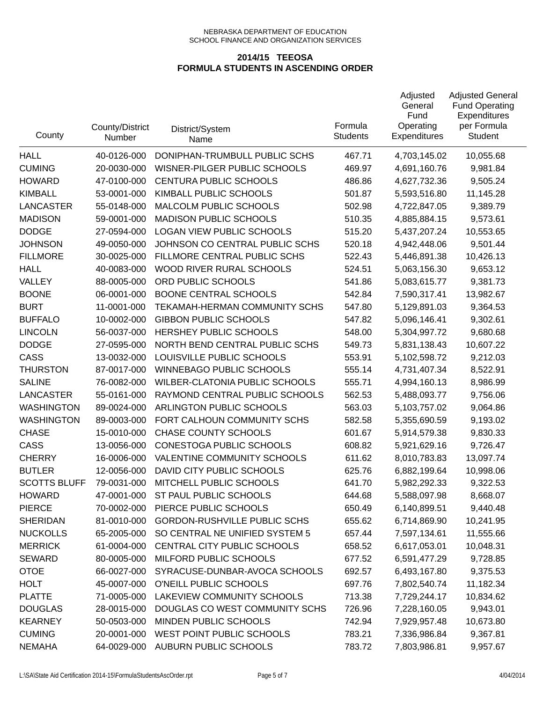| County              | County/District<br>Number | District/System<br>Name             | Formula<br><b>Students</b> | Adjusted<br>General<br>Fund<br>Operating<br><b>Expenditures</b> | <b>Adjusted General</b><br><b>Fund Operating</b><br>Expenditures<br>per Formula<br>Student |
|---------------------|---------------------------|-------------------------------------|----------------------------|-----------------------------------------------------------------|--------------------------------------------------------------------------------------------|
| <b>HALL</b>         | 40-0126-000               | DONIPHAN-TRUMBULL PUBLIC SCHS       | 467.71                     | 4,703,145.02                                                    | 10,055.68                                                                                  |
| <b>CUMING</b>       | 20-0030-000               | WISNER-PILGER PUBLIC SCHOOLS        | 469.97                     | 4,691,160.76                                                    | 9,981.84                                                                                   |
| <b>HOWARD</b>       | 47-0100-000               | CENTURA PUBLIC SCHOOLS              | 486.86                     | 4,627,732.36                                                    | 9,505.24                                                                                   |
| <b>KIMBALL</b>      | 53-0001-000               | KIMBALL PUBLIC SCHOOLS              | 501.87                     | 5,593,516.80                                                    | 11,145.28                                                                                  |
| <b>LANCASTER</b>    | 55-0148-000               | MALCOLM PUBLIC SCHOOLS              | 502.98                     | 4,722,847.05                                                    | 9,389.79                                                                                   |
| <b>MADISON</b>      | 59-0001-000               | <b>MADISON PUBLIC SCHOOLS</b>       | 510.35                     | 4,885,884.15                                                    | 9,573.61                                                                                   |
| <b>DODGE</b>        | 27-0594-000               | <b>LOGAN VIEW PUBLIC SCHOOLS</b>    | 515.20                     | 5,437,207.24                                                    | 10,553.65                                                                                  |
| <b>JOHNSON</b>      | 49-0050-000               | JOHNSON CO CENTRAL PUBLIC SCHS      | 520.18                     | 4,942,448.06                                                    | 9,501.44                                                                                   |
| <b>FILLMORE</b>     | 30-0025-000               | FILLMORE CENTRAL PUBLIC SCHS        | 522.43                     | 5,446,891.38                                                    | 10,426.13                                                                                  |
| <b>HALL</b>         | 40-0083-000               | WOOD RIVER RURAL SCHOOLS            | 524.51                     | 5,063,156.30                                                    | 9,653.12                                                                                   |
| VALLEY              | 88-0005-000               | ORD PUBLIC SCHOOLS                  | 541.86                     | 5,083,615.77                                                    | 9,381.73                                                                                   |
| <b>BOONE</b>        | 06-0001-000               | <b>BOONE CENTRAL SCHOOLS</b>        | 542.84                     | 7,590,317.41                                                    | 13,982.67                                                                                  |
| <b>BURT</b>         | 11-0001-000               | TEKAMAH-HERMAN COMMUNITY SCHS       | 547.80                     | 5,129,891.03                                                    | 9,364.53                                                                                   |
| <b>BUFFALO</b>      | 10-0002-000               | <b>GIBBON PUBLIC SCHOOLS</b>        | 547.82                     | 5,096,146.41                                                    | 9,302.61                                                                                   |
| <b>LINCOLN</b>      | 56-0037-000               | HERSHEY PUBLIC SCHOOLS              | 548.00                     | 5,304,997.72                                                    | 9,680.68                                                                                   |
| <b>DODGE</b>        | 27-0595-000               | NORTH BEND CENTRAL PUBLIC SCHS      | 549.73                     | 5,831,138.43                                                    | 10,607.22                                                                                  |
| CASS                | 13-0032-000               | LOUISVILLE PUBLIC SCHOOLS           | 553.91                     | 5,102,598.72                                                    | 9,212.03                                                                                   |
| <b>THURSTON</b>     | 87-0017-000               | <b>WINNEBAGO PUBLIC SCHOOLS</b>     | 555.14                     | 4,731,407.34                                                    | 8,522.91                                                                                   |
| <b>SALINE</b>       | 76-0082-000               | WILBER-CLATONIA PUBLIC SCHOOLS      | 555.71                     | 4,994,160.13                                                    | 8,986.99                                                                                   |
| <b>LANCASTER</b>    | 55-0161-000               | RAYMOND CENTRAL PUBLIC SCHOOLS      | 562.53                     | 5,488,093.77                                                    | 9,756.06                                                                                   |
| <b>WASHINGTON</b>   | 89-0024-000               | ARLINGTON PUBLIC SCHOOLS            | 563.03                     | 5,103,757.02                                                    | 9,064.86                                                                                   |
| <b>WASHINGTON</b>   | 89-0003-000               | FORT CALHOUN COMMUNITY SCHS         | 582.58                     | 5,355,690.59                                                    | 9,193.02                                                                                   |
| <b>CHASE</b>        | 15-0010-000               | <b>CHASE COUNTY SCHOOLS</b>         | 601.67                     | 5,914,579.38                                                    | 9,830.33                                                                                   |
| CASS                | 13-0056-000               | CONESTOGA PUBLIC SCHOOLS            | 608.82                     | 5,921,629.16                                                    | 9,726.47                                                                                   |
| <b>CHERRY</b>       | 16-0006-000               | VALENTINE COMMUNITY SCHOOLS         | 611.62                     | 8,010,783.83                                                    | 13,097.74                                                                                  |
| <b>BUTLER</b>       | 12-0056-000               | DAVID CITY PUBLIC SCHOOLS           | 625.76                     | 6,882,199.64                                                    | 10,998.06                                                                                  |
| <b>SCOTTS BLUFF</b> | 79-0031-000               | MITCHELL PUBLIC SCHOOLS             | 641.70                     | 5,982,292.33                                                    | 9,322.53                                                                                   |
| <b>HOWARD</b>       | 47-0001-000               | ST PAUL PUBLIC SCHOOLS              | 644.68                     | 5,588,097.98                                                    | 8,668.07                                                                                   |
| <b>PIERCE</b>       | 70-0002-000               | PIERCE PUBLIC SCHOOLS               | 650.49                     | 6,140,899.51                                                    | 9,440.48                                                                                   |
| <b>SHERIDAN</b>     | 81-0010-000               | <b>GORDON-RUSHVILLE PUBLIC SCHS</b> | 655.62                     | 6,714,869.90                                                    | 10,241.95                                                                                  |
| <b>NUCKOLLS</b>     | 65-2005-000               | SO CENTRAL NE UNIFIED SYSTEM 5      | 657.44                     | 7,597,134.61                                                    | 11,555.66                                                                                  |
| <b>MERRICK</b>      | 61-0004-000               | CENTRAL CITY PUBLIC SCHOOLS         | 658.52                     | 6,617,053.01                                                    | 10,048.31                                                                                  |
| <b>SEWARD</b>       | 80-0005-000               | MILFORD PUBLIC SCHOOLS              | 677.52                     | 6,591,477.29                                                    | 9,728.85                                                                                   |
| <b>OTOE</b>         | 66-0027-000               | SYRACUSE-DUNBAR-AVOCA SCHOOLS       | 692.57                     | 6,493,167.80                                                    | 9,375.53                                                                                   |
| <b>HOLT</b>         | 45-0007-000               | O'NEILL PUBLIC SCHOOLS              | 697.76                     | 7,802,540.74                                                    | 11,182.34                                                                                  |
| <b>PLATTE</b>       | 71-0005-000               | LAKEVIEW COMMUNITY SCHOOLS          | 713.38                     | 7,729,244.17                                                    | 10,834.62                                                                                  |
| <b>DOUGLAS</b>      | 28-0015-000               | DOUGLAS CO WEST COMMUNITY SCHS      | 726.96                     | 7,228,160.05                                                    | 9,943.01                                                                                   |
| <b>KEARNEY</b>      | 50-0503-000               | MINDEN PUBLIC SCHOOLS               | 742.94                     | 7,929,957.48                                                    | 10,673.80                                                                                  |
| <b>CUMING</b>       | 20-0001-000               | WEST POINT PUBLIC SCHOOLS           | 783.21                     | 7,336,986.84                                                    | 9,367.81                                                                                   |
| <b>NEMAHA</b>       | 64-0029-000               | AUBURN PUBLIC SCHOOLS               | 783.72                     | 7,803,986.81                                                    | 9,957.67                                                                                   |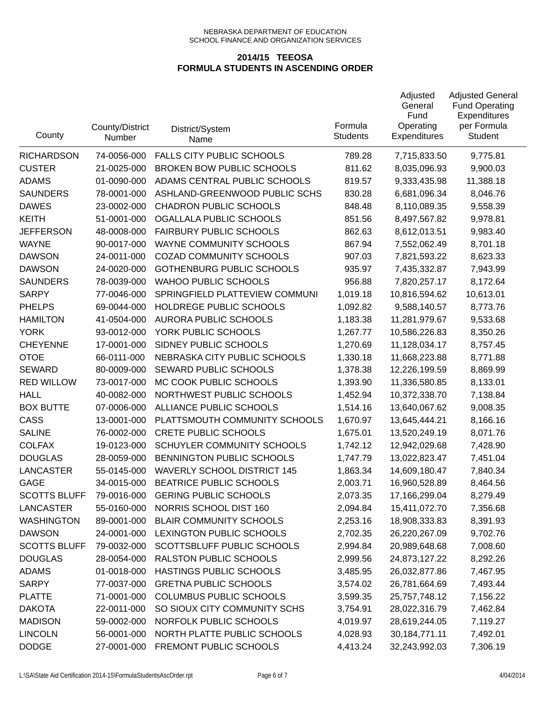| County              | County/District<br>Number | District/System<br>Name            | Formula<br><b>Students</b> | Adjusted<br>General<br>Fund<br>Operating<br>Expenditures | <b>Adjusted General</b><br><b>Fund Operating</b><br>Expenditures<br>per Formula<br>Student |
|---------------------|---------------------------|------------------------------------|----------------------------|----------------------------------------------------------|--------------------------------------------------------------------------------------------|
| <b>RICHARDSON</b>   | 74-0056-000               | <b>FALLS CITY PUBLIC SCHOOLS</b>   | 789.28                     | 7,715,833.50                                             | 9,775.81                                                                                   |
| <b>CUSTER</b>       | 21-0025-000               | <b>BROKEN BOW PUBLIC SCHOOLS</b>   | 811.62                     | 8,035,096.93                                             | 9,900.03                                                                                   |
| <b>ADAMS</b>        | 01-0090-000               | ADAMS CENTRAL PUBLIC SCHOOLS       | 819.57                     | 9,333,435.98                                             | 11,388.18                                                                                  |
| <b>SAUNDERS</b>     | 78-0001-000               | ASHLAND-GREENWOOD PUBLIC SCHS      | 830.28                     | 6,681,096.34                                             | 8,046.76                                                                                   |
| <b>DAWES</b>        | 23-0002-000               | <b>CHADRON PUBLIC SCHOOLS</b>      | 848.48                     | 8,110,089.35                                             | 9,558.39                                                                                   |
| <b>KEITH</b>        | 51-0001-000               | OGALLALA PUBLIC SCHOOLS            | 851.56                     | 8,497,567.82                                             | 9,978.81                                                                                   |
| <b>JEFFERSON</b>    | 48-0008-000               | <b>FAIRBURY PUBLIC SCHOOLS</b>     | 862.63                     | 8,612,013.51                                             | 9,983.40                                                                                   |
| <b>WAYNE</b>        | 90-0017-000               | WAYNE COMMUNITY SCHOOLS            | 867.94                     | 7,552,062.49                                             | 8,701.18                                                                                   |
| <b>DAWSON</b>       | 24-0011-000               | <b>COZAD COMMUNITY SCHOOLS</b>     | 907.03                     | 7,821,593.22                                             | 8,623.33                                                                                   |
| <b>DAWSON</b>       | 24-0020-000               | <b>GOTHENBURG PUBLIC SCHOOLS</b>   | 935.97                     | 7,435,332.87                                             | 7,943.99                                                                                   |
| <b>SAUNDERS</b>     | 78-0039-000               | <b>WAHOO PUBLIC SCHOOLS</b>        | 956.88                     | 7,820,257.17                                             | 8,172.64                                                                                   |
| <b>SARPY</b>        | 77-0046-000               | SPRINGFIELD PLATTEVIEW COMMUNI     | 1,019.18                   | 10,816,594.62                                            | 10,613.01                                                                                  |
| <b>PHELPS</b>       | 69-0044-000               | HOLDREGE PUBLIC SCHOOLS            | 1,092.82                   | 9,588,140.57                                             | 8,773.76                                                                                   |
| <b>HAMILTON</b>     | 41-0504-000               | <b>AURORA PUBLIC SCHOOLS</b>       | 1,183.38                   | 11,281,979.67                                            | 9,533.68                                                                                   |
| <b>YORK</b>         | 93-0012-000               | YORK PUBLIC SCHOOLS                | 1,267.77                   | 10,586,226.83                                            | 8,350.26                                                                                   |
| <b>CHEYENNE</b>     | 17-0001-000               | SIDNEY PUBLIC SCHOOLS              | 1,270.69                   | 11,128,034.17                                            | 8,757.45                                                                                   |
| <b>OTOE</b>         | 66-0111-000               | NEBRASKA CITY PUBLIC SCHOOLS       | 1,330.18                   | 11,668,223.88                                            | 8,771.88                                                                                   |
| <b>SEWARD</b>       | 80-0009-000               | SEWARD PUBLIC SCHOOLS              | 1,378.38                   | 12,226,199.59                                            | 8,869.99                                                                                   |
| <b>RED WILLOW</b>   | 73-0017-000               | MC COOK PUBLIC SCHOOLS             | 1,393.90                   | 11,336,580.85                                            | 8,133.01                                                                                   |
| <b>HALL</b>         | 40-0082-000               | NORTHWEST PUBLIC SCHOOLS           | 1,452.94                   | 10,372,338.70                                            | 7,138.84                                                                                   |
| <b>BOX BUTTE</b>    | 07-0006-000               | ALLIANCE PUBLIC SCHOOLS            | 1,514.16                   | 13,640,067.62                                            | 9,008.35                                                                                   |
| CASS                | 13-0001-000               | PLATTSMOUTH COMMUNITY SCHOOLS      | 1,670.97                   | 13,645,444.21                                            | 8,166.16                                                                                   |
| <b>SALINE</b>       | 76-0002-000               | <b>CRETE PUBLIC SCHOOLS</b>        | 1,675.01                   | 13,520,249.19                                            | 8,071.76                                                                                   |
| <b>COLFAX</b>       | 19-0123-000               | SCHUYLER COMMUNITY SCHOOLS         | 1,742.12                   | 12,942,029.68                                            | 7,428.90                                                                                   |
| <b>DOUGLAS</b>      | 28-0059-000               | BENNINGTON PUBLIC SCHOOLS          | 1,747.79                   | 13,022,823.47                                            | 7,451.04                                                                                   |
| <b>LANCASTER</b>    | 55-0145-000               | <b>WAVERLY SCHOOL DISTRICT 145</b> | 1,863.34                   | 14,609,180.47                                            | 7,840.34                                                                                   |
| <b>GAGE</b>         | 34-0015-000               | BEATRICE PUBLIC SCHOOLS            | 2,003.71                   | 16,960,528.89                                            | 8,464.56                                                                                   |
| <b>SCOTTS BLUFF</b> | 79-0016-000               | <b>GERING PUBLIC SCHOOLS</b>       | 2,073.35                   | 17,166,299.04                                            | 8,279.49                                                                                   |
| <b>LANCASTER</b>    | 55-0160-000               | NORRIS SCHOOL DIST 160             | 2,094.84                   | 15,411,072.70                                            | 7,356.68                                                                                   |
| <b>WASHINGTON</b>   | 89-0001-000               | <b>BLAIR COMMUNITY SCHOOLS</b>     | 2,253.16                   | 18,908,333.83                                            | 8,391.93                                                                                   |
| <b>DAWSON</b>       | 24-0001-000               | LEXINGTON PUBLIC SCHOOLS           | 2,702.35                   | 26,220,267.09                                            | 9,702.76                                                                                   |
| <b>SCOTTS BLUFF</b> | 79-0032-000               | SCOTTSBLUFF PUBLIC SCHOOLS         | 2,994.84                   | 20,989,648.68                                            | 7,008.60                                                                                   |
| <b>DOUGLAS</b>      | 28-0054-000               | RALSTON PUBLIC SCHOOLS             | 2,999.56                   | 24,873,127.22                                            | 8,292.26                                                                                   |
| <b>ADAMS</b>        | 01-0018-000               | HASTINGS PUBLIC SCHOOLS            | 3,485.95                   | 26,032,877.86                                            | 7,467.95                                                                                   |
| <b>SARPY</b>        | 77-0037-000               | <b>GRETNA PUBLIC SCHOOLS</b>       | 3,574.02                   | 26,781,664.69                                            | 7,493.44                                                                                   |
| <b>PLATTE</b>       | 71-0001-000               | <b>COLUMBUS PUBLIC SCHOOLS</b>     | 3,599.35                   | 25,757,748.12                                            | 7,156.22                                                                                   |
| <b>DAKOTA</b>       | 22-0011-000               | SO SIOUX CITY COMMUNITY SCHS       | 3,754.91                   | 28,022,316.79                                            | 7,462.84                                                                                   |
| <b>MADISON</b>      | 59-0002-000               | NORFOLK PUBLIC SCHOOLS             | 4,019.97                   | 28,619,244.05                                            | 7,119.27                                                                                   |
| <b>LINCOLN</b>      | 56-0001-000               | NORTH PLATTE PUBLIC SCHOOLS        | 4,028.93                   | 30, 184, 771.11                                          | 7,492.01                                                                                   |
| <b>DODGE</b>        | 27-0001-000               | FREMONT PUBLIC SCHOOLS             | 4,413.24                   | 32,243,992.03                                            | 7,306.19                                                                                   |